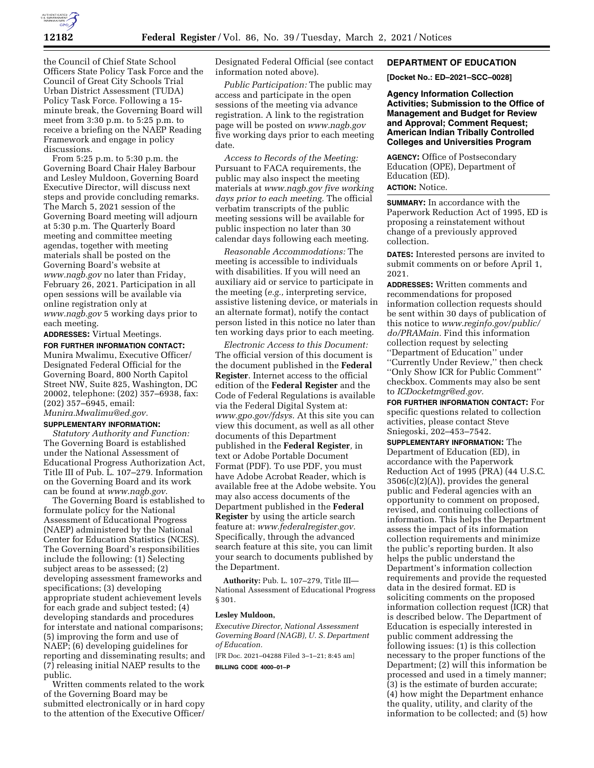

the Council of Chief State School Officers State Policy Task Force and the Council of Great City Schools Trial Urban District Assessment (TUDA) Policy Task Force. Following a 15 minute break, the Governing Board will meet from 3:30 p.m. to 5:25 p.m. to receive a briefing on the NAEP Reading Framework and engage in policy discussions.

From 5:25 p.m. to 5:30 p.m. the Governing Board Chair Haley Barbour and Lesley Muldoon, Governing Board Executive Director, will discuss next steps and provide concluding remarks. The March 5, 2021 session of the Governing Board meeting will adjourn at 5:30 p.m. The Quarterly Board meeting and committee meeting agendas, together with meeting materials shall be posted on the Governing Board's website at *[www.nagb.gov](http://www.nagb.gov)* no later than Friday, February 26, 2021. Participation in all open sessions will be available via online registration only at *[www.nagb.gov](http://www.nagb.gov)* 5 working days prior to each meeting.

**ADDRESSES:** Virtual Meetings. **FOR FURTHER INFORMATION CONTACT:**  Munira Mwalimu, Executive Officer/ Designated Federal Official for the Governing Board, 800 North Capitol Street NW, Suite 825, Washington, DC 20002, telephone: (202) 357–6938, fax: (202) 357–6945, email: *[Munira.Mwalimu@ed.gov.](mailto:Munira.Mwalimu@ed.gov)* 

## **SUPPLEMENTARY INFORMATION:**

*Statutory Authority and Function:*  The Governing Board is established under the National Assessment of Educational Progress Authorization Act, Title III of Pub. L. 107–279. Information on the Governing Board and its work can be found at *[www.nagb.gov.](http://www.nagb.gov)* 

The Governing Board is established to formulate policy for the National Assessment of Educational Progress (NAEP) administered by the National Center for Education Statistics (NCES). The Governing Board's responsibilities include the following: (1) Selecting subject areas to be assessed; (2) developing assessment frameworks and specifications; (3) developing appropriate student achievement levels for each grade and subject tested; (4) developing standards and procedures for interstate and national comparisons; (5) improving the form and use of NAEP; (6) developing guidelines for reporting and disseminating results; and (7) releasing initial NAEP results to the public.

Written comments related to the work of the Governing Board may be submitted electronically or in hard copy to the attention of the Executive Officer/

Designated Federal Official (see contact information noted above).

*Public Participation:* The public may access and participate in the open sessions of the meeting via advance registration. A link to the registration page will be posted on *[www.nagb.gov](http://www.nagb.gov)*  five working days prior to each meeting date.

*Access to Records of the Meeting:*  Pursuant to FACA requirements, the public may also inspect the meeting materials at *[www.nagb.gov](http://www.nagb.gov) five working days prior to each meeting.* The official verbatim transcripts of the public meeting sessions will be available for public inspection no later than 30 calendar days following each meeting.

*Reasonable Accommodations:* The meeting is accessible to individuals with disabilities. If you will need an auxiliary aid or service to participate in the meeting (*e.g.,* interpreting service, assistive listening device, or materials in an alternate format), notify the contact person listed in this notice no later than ten working days prior to each meeting.

*Electronic Access to this Document:*  The official version of this document is the document published in the **Federal Register**. Internet access to the official edition of the **Federal Register** and the Code of Federal Regulations is available via the Federal Digital System at: *[www.gpo.gov/fdsys.](http://www.gpo.gov/fdsys)* At this site you can view this document, as well as all other documents of this Department published in the **Federal Register***,* in text or Adobe Portable Document Format (PDF). To use PDF, you must have Adobe Acrobat Reader, which is available free at the Adobe website. You may also access documents of the Department published in the **Federal Register** by using the article search feature at: *[www.federalregister.gov.](http://www.federalregister.gov)*  Specifically, through the advanced search feature at this site, you can limit your search to documents published by the Department.

**Authority:** Pub. L. 107–279, Title III— National Assessment of Educational Progress § 301.

### **Lesley Muldoon,**

*Executive Director, National Assessment Governing Board (NAGB), U. S. Department of Education.* 

[FR Doc. 2021–04288 Filed 3–1–21; 8:45 am]

**BILLING CODE 4000–01–P** 

#### **DEPARTMENT OF EDUCATION**

**[Docket No.: ED–2021–SCC–0028]** 

**Agency Information Collection Activities; Submission to the Office of Management and Budget for Review and Approval; Comment Request; American Indian Tribally Controlled Colleges and Universities Program** 

**AGENCY:** Office of Postsecondary Education (OPE), Department of Education (ED). **ACTION:** Notice.

**SUMMARY:** In accordance with the Paperwork Reduction Act of 1995, ED is proposing a reinstatement without change of a previously approved collection.

**DATES:** Interested persons are invited to submit comments on or before April 1, 2021.

**ADDRESSES:** Written comments and recommendations for proposed information collection requests should be sent within 30 days of publication of this notice to *[www.reginfo.gov/public/](http://www.reginfo.gov/public/do/PRAMain) [do/PRAMain.](http://www.reginfo.gov/public/do/PRAMain)* Find this information collection request by selecting ''Department of Education'' under ''Currently Under Review,'' then check ''Only Show ICR for Public Comment'' checkbox. Comments may also be sent to *[ICDocketmgr@ed.gov.](mailto:ICDocketmgr@ed.gov)* 

**FOR FURTHER INFORMATION CONTACT:** For specific questions related to collection activities, please contact Steve Sniegoski, 202–453–7542.

**SUPPLEMENTARY INFORMATION:** The Department of Education (ED), in accordance with the Paperwork Reduction Act of 1995 (PRA) (44 U.S.C.  $3506(c)(2)(A)$ , provides the general public and Federal agencies with an opportunity to comment on proposed, revised, and continuing collections of information. This helps the Department assess the impact of its information collection requirements and minimize the public's reporting burden. It also helps the public understand the Department's information collection requirements and provide the requested data in the desired format. ED is soliciting comments on the proposed information collection request (ICR) that is described below. The Department of Education is especially interested in public comment addressing the following issues: (1) is this collection necessary to the proper functions of the Department; (2) will this information be processed and used in a timely manner; (3) is the estimate of burden accurate; (4) how might the Department enhance the quality, utility, and clarity of the information to be collected; and (5) how